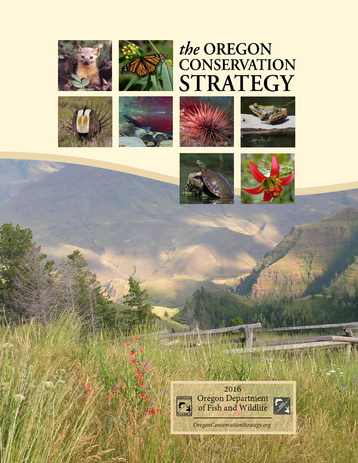







# the OREGON<br>CONSERVATION STRATEGY









THEFT

24.



2016 Oregon Department<br>of Fish and Wildlife



and American dist

OregonConservationStrategy.org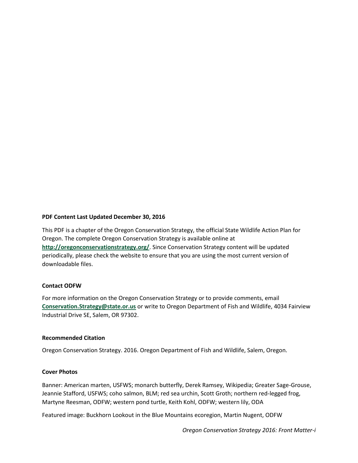# **PDF Content Last Updated December 30, 2016**

This PDF is a chapter of the Oregon Conservation Strategy, the official State Wildlife Action Plan for Oregon. The complete Oregon Conservation Strategy is available online at **<http://oregonconservationstrategy.org/>**. Since Conservation Strategy content will be updated periodically, please check the website to ensure that you are using the most current version of downloadable files.

### **Contact ODFW**

For more information on the Oregon Conservation Strategy or to provide comments, email **[Conservation.Strategy@state.or.us](mailto:Conservation.Strategy@state.or.us)** or write to Oregon Department of Fish and Wildlife, 4034 Fairview Industrial Drive SE, Salem, OR 97302.

### **Recommended Citation**

Oregon Conservation Strategy. 2016. Oregon Department of Fish and Wildlife, Salem, Oregon.

### **Cover Photos**

Banner: American marten, USFWS; monarch butterfly, Derek Ramsey, Wikipedia; Greater Sage-Grouse, Jeannie Stafford, USFWS; coho salmon, BLM; red sea urchin, Scott Groth; northern red-legged frog, Martyne Reesman, ODFW; western pond turtle, Keith Kohl, ODFW; western lily, ODA

Featured image: Buckhorn Lookout in the Blue Mountains ecoregion, Martin Nugent, ODFW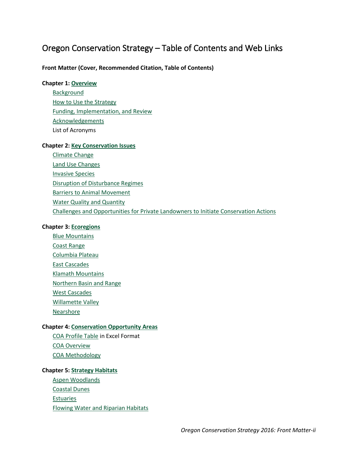# Oregon Conservation Strategy – Table of Contents and Web Links

# **Front Matter (Cover, Recommended Citation, Table of Contents)**

# **Chapter 1: [Overview](http://www.oregonconservationstrategy.org/overview/)**

**[Background](http://www.oregonconservationstrategy.org/overview/oregon-conservation-strategy-background/)** [How to Use the Strategy](http://www.oregonconservationstrategy.org/overview/how-to-use-the-oregon-conservation-strategy/) [Funding, Implementation, and Review](http://www.oregonconservationstrategy.org/overview/funding-implementation-and-review/) [Acknowledgements](http://www.oregonconservationstrategy.org/overview/acknowledgements/) List of Acronyms

# **Chapter 2: [Key Conservation Issues](http://www.oregonconservationstrategy.org/key-conservation-issues/)**

[Climate Change](http://www.oregonconservationstrategy.org/key-conservation-issue/climate-change/) [Land Use Changes](http://www.oregonconservationstrategy.org/key-conservation-issue/land-use-changes/) [Invasive Species](http://www.oregonconservationstrategy.org/key-conservation-issue/invasive-species/) [Disruption of Disturbance Regimes](http://www.oregonconservationstrategy.org/key-conservation-issue/disruption-of-disturbance-regimes/) [Barriers to Animal Movement](http://www.oregonconservationstrategy.org/key-conservation-issue/barriers-to-animal-movement/) [Water Quality and Quantity](http://www.oregonconservationstrategy.org/key-conservation-issue/water-quality-and-quantity/) [Challenges and Opportunities for Private Landowners to Initiate Conservation Actions](http://www.oregonconservationstrategy.org/key-conservation-issue/private-landowners-conservation/)

# **Chapter 3: [Ecoregions](http://www.oregonconservationstrategy.org/ecoregions/)**

[Blue Mountains](http://www.oregonconservationstrategy.org/ecoregion/blue-mountains/) [Coast Range](http://www.oregonconservationstrategy.org/ecoregion/coast-range/) [Columbia Plateau](http://www.oregonconservationstrategy.org/ecoregion/columbia-plateau/) [East Cascades](http://www.oregonconservationstrategy.org/ecoregion/east-cascades/) [Klamath Mountains](http://www.oregonconservationstrategy.org/ecoregion/klamath-mountains/) [Northern Basin and Range](http://www.oregonconservationstrategy.org/ecoregion/northern-basin-and-range/) [West Cascades](http://www.oregonconservationstrategy.org/ecoregion/west-cascades/) [Willamette Valley](http://www.oregonconservationstrategy.org/ecoregion/willamette-valley/) [Nearshore](http://www.oregonconservationstrategy.org/ecoregion/nearshore/)

# **Chapter 4: [Conservation Opportunity Areas](http://www.oregonconservationstrategy.org/conservation-opportunity-areas/)**

[COA Profile Table](http://oregonconservationstrategy.org/oregon-conservation-strategy-help/#scrollNav-3) in Excel Format [COA Overview](http://www.oregonconservationstrategy.org/conservation-opportunity-areas/overview/) [COA Methodology](http://www.oregonconservationstrategy.org/conservation-opportunity-areas/methodology/)

# **Chapter 5: [Strategy Habitats](http://www.oregonconservationstrategy.org/strategy-habitats/)**

[Aspen Woodlands](http://www.oregonconservationstrategy.org/strategy-habitat/aspen-woodlands/) [Coastal Dunes](http://www.oregonconservationstrategy.org/strategy-habitat/coastal-dunes/) **[Estuaries](http://www.oregonconservationstrategy.org/strategy-habitat/estuaries/)** 

[Flowing Water and Riparian Habitats](http://www.oregonconservationstrategy.org/strategy-habitat/riparian-habitats-and-flowing-water/)